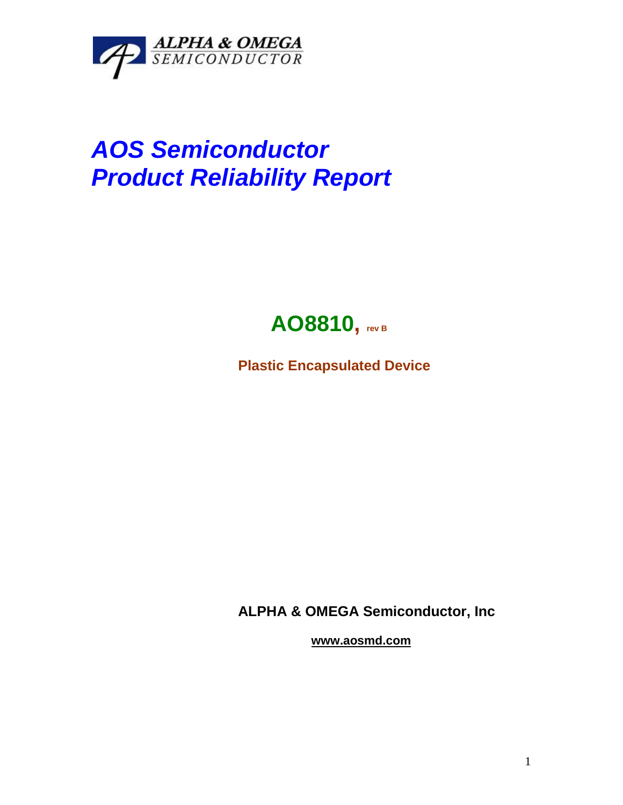

# *AOS Semiconductor Product Reliability Report*

## **AO8810, rev <sup>B</sup>**

**Plastic Encapsulated Device**

**ALPHA & OMEGA Semiconductor, Inc**

**www.aosmd.com**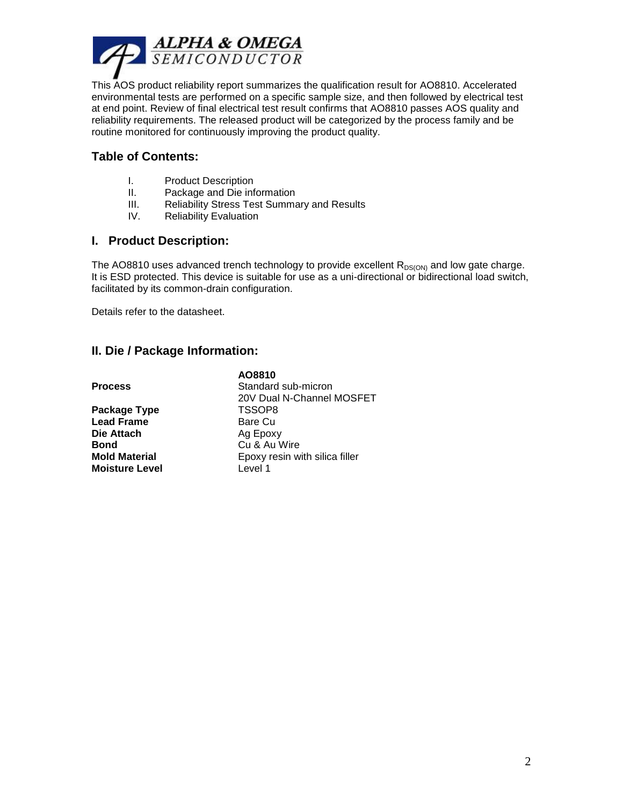

This AOS product reliability report summarizes the qualification result for AO8810. Accelerated environmental tests are performed on a specific sample size, and then followed by electrical test at end point. Review of final electrical test result confirms that AO8810 passes AOS quality and reliability requirements. The released product will be categorized by the process family and be routine monitored for continuously improving the product quality.

### **Table of Contents:**

- I. Product Description
- II. Package and Die information
- III. Reliability Stress Test Summary and Results

**AO8810**

IV. Reliability Evaluation

#### **I. Product Description:**

The AO8810 uses advanced trench technology to provide excellent  $R_{DS(ON)}$  and low gate charge. It is ESD protected. This device is suitable for use as a uni-directional or bidirectional load switch, facilitated by its common-drain configuration.

Details refer to the datasheet.

#### **II. Die / Package Information:**

|                       | AU00 I U                       |
|-----------------------|--------------------------------|
| <b>Process</b>        | Standard sub-micron            |
|                       | 20V Dual N-Channel MOSFET      |
| Package Type          | TSSOP8                         |
| <b>Lead Frame</b>     | Bare Cu                        |
| Die Attach            | Ag Epoxy                       |
| <b>Bond</b>           | Cu & Au Wire                   |
| <b>Mold Material</b>  | Epoxy resin with silica filler |
| <b>Moisture Level</b> | Level 1                        |
|                       |                                |